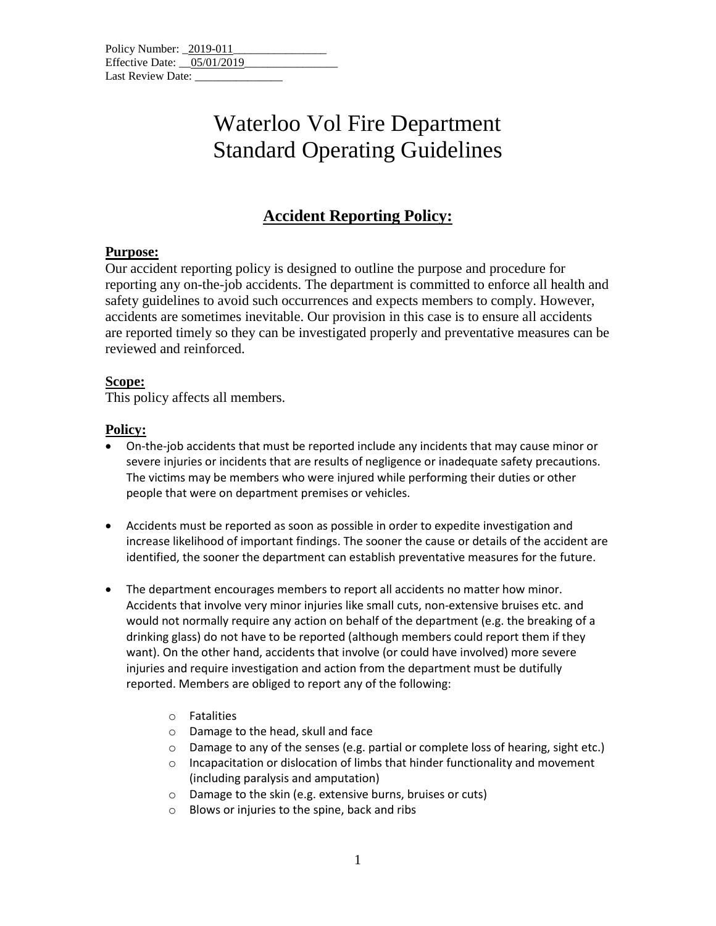| Policy Number: 2019-011    |  |
|----------------------------|--|
| Effective Date: 05/01/2019 |  |
| Last Review Date:          |  |

## Waterloo Vol Fire Department Standard Operating Guidelines

### **Accident Reporting Policy:**

### **Purpose:**

Our accident reporting policy is designed to outline the purpose and procedure for reporting any on-the-job accidents. The department is committed to enforce all health and safety guidelines to avoid such occurrences and expects members to comply. However, accidents are sometimes inevitable. Our provision in this case is to ensure all accidents are reported timely so they can be investigated properly and preventative measures can be reviewed and reinforced.

#### **Scope:**

This policy affects all members.

#### **Policy:**

- On-the-job accidents that must be reported include any incidents that may cause minor or severe injuries or incidents that are results of negligence or inadequate safety precautions. The victims may be members who were injured while performing their duties or other people that were on department premises or vehicles.
- Accidents must be reported as soon as possible in order to expedite investigation and increase likelihood of important findings. The sooner the cause or details of the accident are identified, the sooner the department can establish preventative measures for the future.
- The department encourages members to report all accidents no matter how minor. Accidents that involve very minor injuries like small cuts, non-extensive bruises etc. and would not normally require any action on behalf of the department (e.g. the breaking of a drinking glass) do not have to be reported (although members could report them if they want). On the other hand, accidents that involve (or could have involved) more severe injuries and require investigation and action from the department must be dutifully reported. Members are obliged to report any of the following:
	- o Fatalities
	- o Damage to the head, skull and face
	- o Damage to any of the senses (e.g. partial or complete loss of hearing, sight etc.)
	- o Incapacitation or dislocation of limbs that hinder functionality and movement (including paralysis and amputation)
	- o Damage to the skin (e.g. extensive burns, bruises or cuts)
	- o Blows or injuries to the spine, back and ribs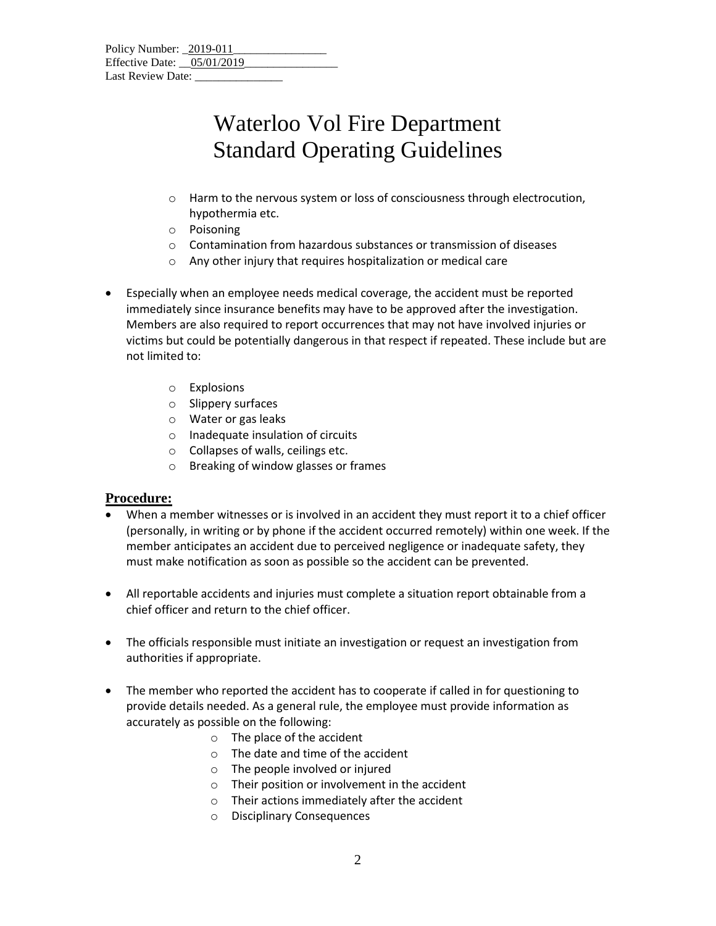| Policy Number: 2019-011      |  |  |  |
|------------------------------|--|--|--|
| Effective Date: $05/01/2019$ |  |  |  |
| Last Review Date:            |  |  |  |

# Waterloo Vol Fire Department Standard Operating Guidelines

- o Harm to the nervous system or loss of consciousness through electrocution, hypothermia etc.
- o Poisoning
- o Contamination from hazardous substances or transmission of diseases
- o Any other injury that requires hospitalization or medical care
- Especially when an employee needs medical coverage, the accident must be reported immediately since insurance benefits may have to be approved after the investigation. Members are also required to report occurrences that may not have involved injuries or victims but could be potentially dangerous in that respect if repeated. These include but are not limited to:
	- o Explosions
	- o Slippery surfaces
	- o Water or gas leaks
	- o Inadequate insulation of circuits
	- o Collapses of walls, ceilings etc.
	- o Breaking of window glasses or frames

### **Procedure:**

- When a member witnesses or is involved in an accident they must report it to a chief officer (personally, in writing or by phone if the accident occurred remotely) within one week. If the member anticipates an accident due to perceived negligence or inadequate safety, they must make notification as soon as possible so the accident can be prevented.
- All reportable accidents and injuries must complete a situation report obtainable from a chief officer and return to the chief officer.
- The officials responsible must initiate an investigation or request an investigation from authorities if appropriate.
- The member who reported the accident has to cooperate if called in for questioning to provide details needed. As a general rule, the employee must provide information as accurately as possible on the following:
	- o The place of the accident
	- o The date and time of the accident
	- o The people involved or injured
	- o Their position or involvement in the accident
	- o Their actions immediately after the accident
	- o Disciplinary Consequences